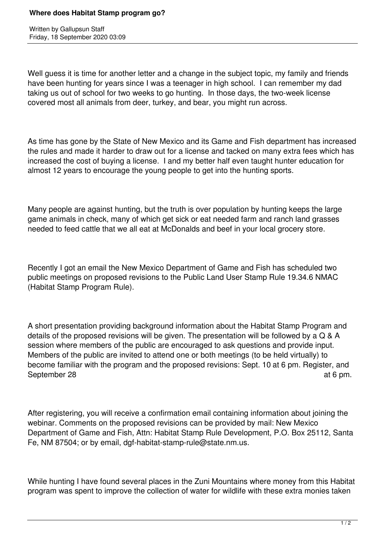Written by Gallupsun Staff Friday, 18 September 2020 03:09

Well guess it is time for another letter and a change in the subject topic, my family and friends have been hunting for years since I was a teenager in high school. I can remember my dad taking us out of school for two weeks to go hunting. In those days, the two-week license covered most all animals from deer, turkey, and bear, you might run across.

As time has gone by the State of New Mexico and its Game and Fish department has increased the rules and made it harder to draw out for a license and tacked on many extra fees which has increased the cost of buying a license. I and my better half even taught hunter education for almost 12 years to encourage the young people to get into the hunting sports.

Many people are against hunting, but the truth is over population by hunting keeps the large game animals in check, many of which get sick or eat needed farm and ranch land grasses needed to feed cattle that we all eat at McDonalds and beef in your local grocery store.

Recently I got an email the New Mexico Department of Game and Fish has scheduled two public meetings on proposed revisions to the Public Land User Stamp Rule 19.34.6 NMAC (Habitat Stamp Program Rule).

A short presentation providing background information about the Habitat Stamp Program and details of the proposed revisions will be given. The presentation will be followed by a Q & A session where members of the public are encouraged to ask questions and provide input. Members of the public are invited to attend one or both meetings (to be held virtually) to become familiar with the program and the proposed revisions: Sept. 10 at 6 pm. Register, and September 28 at 6 pm.

After registering, you will receive a confirmation email containing information about joining the webinar. Comments on the proposed revisions can be provided by mail: New Mexico Department of Game and Fish, Attn: Habitat Stamp Rule Development, P.O. Box 25112, Santa Fe, NM 87504; or by email, dgf-habitat-stamp-rule@state.nm.us.

While hunting I have found several places in the Zuni Mountains where money from this Habitat program was spent to improve the collection of water for wildlife with these extra monies taken